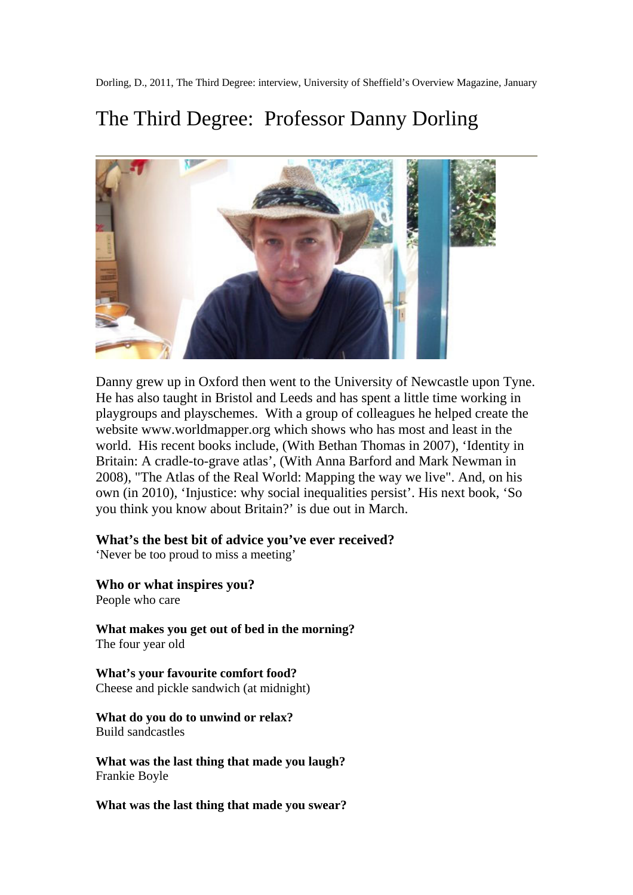Dorling, D., 2011, The Third Degree: interview, University of Sheffield's Overview Magazine, January

## The Third Degree: Professor Danny Dorling



Danny grew up in Oxford then went to the University of Newcastle upon Tyne. He has also taught in Bristol and Leeds and has spent a little time working in playgroups and playschemes. With a group of colleagues he helped create the website www.worldmapper.org which shows who has most and least in the world. His recent books include, (With Bethan Thomas in 2007), 'Identity in Britain: A cradle-to-grave atlas', (With Anna Barford and Mark Newman in 2008), "The Atlas of the Real World: Mapping the way we live". And, on his own (in 2010), 'Injustice: why social inequalities persist'. His next book, 'So you think you know about Britain?' is due out in March.

## **What's the best bit of advice you've ever received?**

'Never be too proud to miss a meeting'

**Who or what inspires you?**

People who care

**What makes you get out of bed in the morning?** The four year old

**What's your favourite comfort food?** Cheese and pickle sandwich (at midnight)

**What do you do to unwind or relax?** Build sandcastles

**What was the last thing that made you laugh?** Frankie Boyle

**What was the last thing that made you swear?**